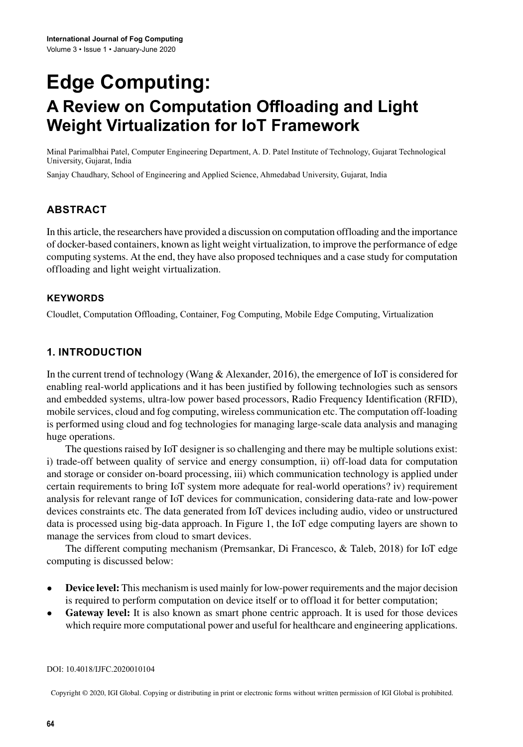# **Edge Computing: A Review on Computation Offloading and Light Weight Virtualization for IoT Framework**

Minal Parimalbhai Patel, Computer Engineering Department, A. D. Patel Institute of Technology, Gujarat Technological University, Gujarat, India

Sanjay Chaudhary, School of Engineering and Applied Science, Ahmedabad University, Gujarat, India

# **ABSTRACT**

In this article, the researchers have provided a discussion on computation offloading and the importance of docker-based containers, known aslight weight virtualization, to improve the performance of edge computing systems. At the end, they have also proposed techniques and a case study for computation offloading and light weight virtualization.

### **Keywords**

Cloudlet, Computation Offloading, Container, Fog Computing, Mobile Edge Computing, Virtualization

# **1. INTRODUCTION**

In the current trend of technology (Wang & Alexander, 2016), the emergence of IoT is considered for enabling real-world applications and it has been justified by following technologies such as sensors and embedded systems, ultra-low power based processors, Radio Frequency Identification (RFID), mobile services, cloud and fog computing, wireless communication etc. The computation off-loading is performed using cloud and fog technologies for managing large-scale data analysis and managing huge operations.

The questions raised by IoT designer is so challenging and there may be multiple solutions exist: i) trade-off between quality of service and energy consumption, ii) off-load data for computation and storage or consider on-board processing, iii) which communication technology is applied under certain requirements to bring IoT system more adequate for real-world operations? iv) requirement analysis for relevant range of IoT devices for communication, considering data-rate and low-power devices constraints etc. The data generated from IoT devices including audio, video or unstructured data is processed using big-data approach. In Figure 1, the IoT edge computing layers are shown to manage the services from cloud to smart devices.

The different computing mechanism (Premsankar, Di Francesco, & Taleb, 2018) for IoT edge computing is discussed below:

- **Device level:** This mechanism is used mainly for low-power requirements and the major decision is required to perform computation on device itself or to offload it for better computation;
- **Gateway level:** It is also known as smart phone centric approach. It is used for those devices which require more computational power and useful for healthcare and engineering applications.

#### DOI: 10.4018/IJFC.2020010104

Copyright © 2020, IGI Global. Copying or distributing in print or electronic forms without written permission of IGI Global is prohibited.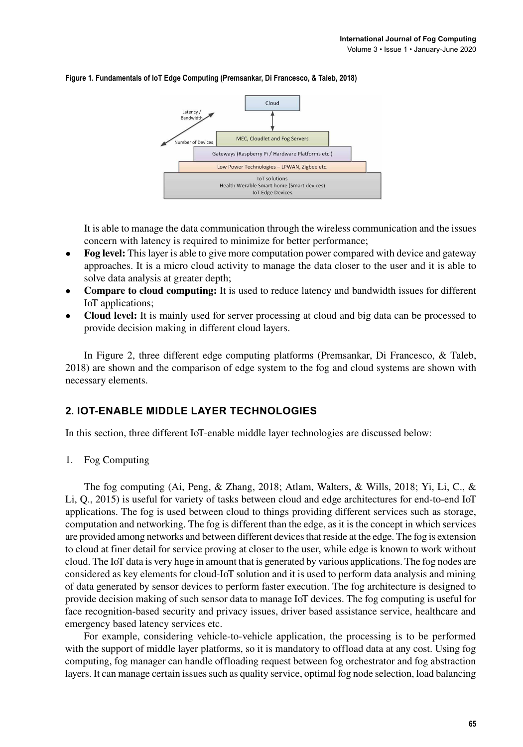

### **Figure 1. Fundamentals of IoT Edge Computing (Premsankar, Di Francesco, & Taleb, 2018)**

It is able to manage the data communication through the wireless communication and the issues concern with latency is required to minimize for better performance;

- **Fog level:** This layer is able to give more computation power compared with device and gateway approaches. It is a micro cloud activity to manage the data closer to the user and it is able to solve data analysis at greater depth;
- **Compare to cloud computing:** It is used to reduce latency and bandwidth issues for different IoT applications;
- **Cloud level:** It is mainly used for server processing at cloud and big data can be processed to provide decision making in different cloud layers.

In Figure 2, three different edge computing platforms (Premsankar, Di Francesco, & Taleb, 2018) are shown and the comparison of edge system to the fog and cloud systems are shown with necessary elements.

### **2. IoT-ENABLE MIDDLE LAYER TECHNOLOGIES**

In this section, three different IoT-enable middle layer technologies are discussed below:

1. Fog Computing

The fog computing (Ai, Peng, & Zhang, 2018; Atlam, Walters, & Wills, 2018; Yi, Li, C., & Li, Q., 2015) is useful for variety of tasks between cloud and edge architectures for end-to-end IoT applications. The fog is used between cloud to things providing different services such as storage, computation and networking. The fog is different than the edge, as it is the concept in which services are provided among networks and between different devices that reside at the edge. The fog is extension to cloud at finer detail for service proving at closer to the user, while edge is known to work without cloud. The IoT data is very huge in amount that is generated by various applications. The fog nodes are considered as key elements for cloud-IoT solution and it is used to perform data analysis and mining of data generated by sensor devices to perform faster execution. The fog architecture is designed to provide decision making of such sensor data to manage IoT devices. The fog computing is useful for face recognition-based security and privacy issues, driver based assistance service, healthcare and emergency based latency services etc.

For example, considering vehicle-to-vehicle application, the processing is to be performed with the support of middle layer platforms, so it is mandatory to offload data at any cost. Using fog computing, fog manager can handle offloading request between fog orchestrator and fog abstraction layers. It can manage certain issues such as quality service, optimal fog node selection, load balancing